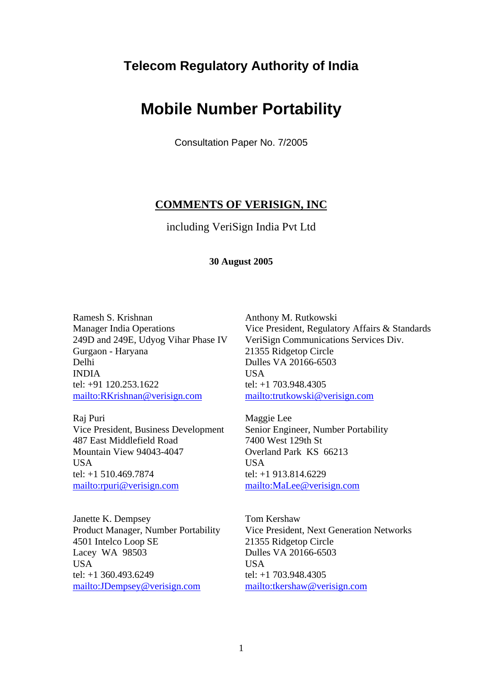# **Telecom Regulatory Authority of India**

# **Mobile Number Portability**

Consultation Paper No. 7/2005

# **COMMENTS OF VERISIGN, INC**

including VeriSign India Pvt Ltd

#### **30 August 2005**

Ramesh S. Krishnan Manager India Operations 249D and 249E, Udyog Vihar Phase IV Gurgaon - Haryana Delhi INDIA tel: +91 120.253.1622 mailto:RKrishnan@verisign.com

Raj Puri Vice President, Business Development 487 East Middlefield Road Mountain View 94043-4047 **USA** tel: +1 510.469.7874 mailto:rpuri@verisign.com

Janette K. Dempsey Product Manager, Number Portability 4501 Intelco Loop SE Lacey WA 98503 **USA** tel: +1 360.493.6249 mailto:JDempsey@verisign.com

Anthony M. Rutkowski Vice President, Regulatory Affairs & Standards VeriSign Communications Services Div. 21355 Ridgetop Circle Dulles VA 20166-6503 **USA** tel: +1 703.948.4305 mailto:trutkowski@verisign.com

Maggie Lee Senior Engineer, Number Portability 7400 West 129th St Overland Park KS 66213 **USA** tel: +1 913.814.6229 mailto:MaLee@verisign.com

Tom Kershaw Vice President, Next Generation Networks 21355 Ridgetop Circle Dulles VA 20166-6503 **USA** tel: +1 703.948.4305 mailto:tkershaw@verisign.com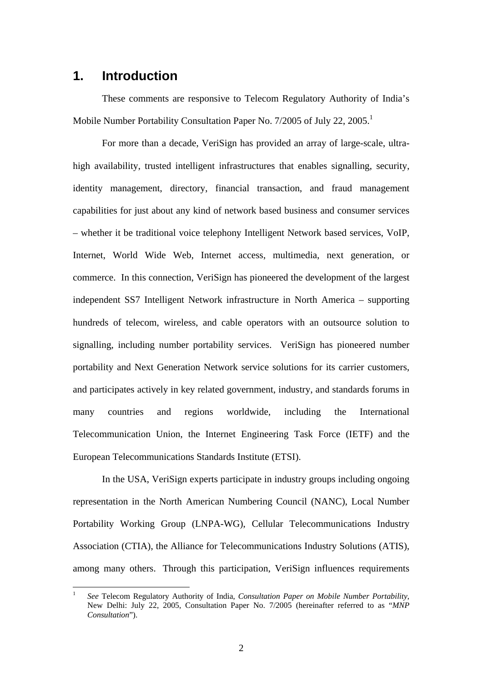# **1. Introduction**

 $\overline{a}$ 

These comments are responsive to Telecom Regulatory Authority of India's Mobile Number Portability Consultation Paper No. 7/2005 of July 22, 2005.<sup>1</sup>

For more than a decade, VeriSign has provided an array of large-scale, ultrahigh availability, trusted intelligent infrastructures that enables signalling, security, identity management, directory, financial transaction, and fraud management capabilities for just about any kind of network based business and consumer services – whether it be traditional voice telephony Intelligent Network based services, VoIP, Internet, World Wide Web, Internet access, multimedia, next generation, or commerce. In this connection, VeriSign has pioneered the development of the largest independent SS7 Intelligent Network infrastructure in North America – supporting hundreds of telecom, wireless, and cable operators with an outsource solution to signalling, including number portability services. VeriSign has pioneered number portability and Next Generation Network service solutions for its carrier customers, and participates actively in key related government, industry, and standards forums in many countries and regions worldwide, including the International Telecommunication Union, the Internet Engineering Task Force (IETF) and the European Telecommunications Standards Institute (ETSI).

In the USA, VeriSign experts participate in industry groups including ongoing representation in the North American Numbering Council (NANC), Local Number Portability Working Group (LNPA-WG), Cellular Telecommunications Industry Association (CTIA), the Alliance for Telecommunications Industry Solutions (ATIS), among many others. Through this participation, VeriSign influences requirements

<sup>1</sup> *See* Telecom Regulatory Authority of India, *Consultation Paper on Mobile Number Portability*, New Delhi: July 22, 2005, Consultation Paper No. 7/2005 (hereinafter referred to as "*MNP Consultation*").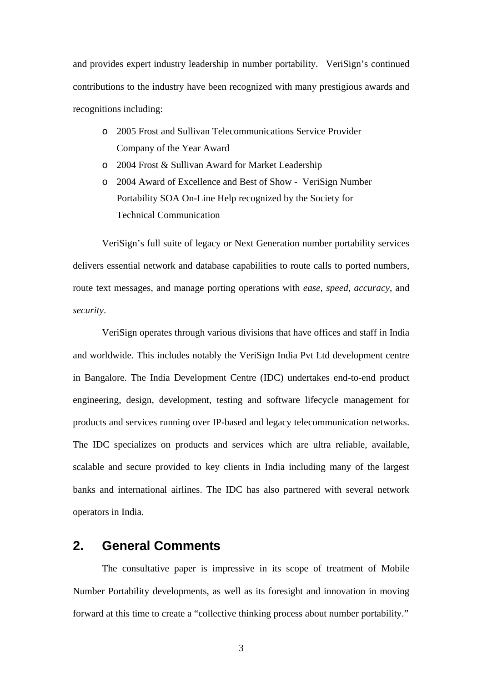and provides expert industry leadership in number portability. VeriSign's continued contributions to the industry have been recognized with many prestigious awards and recognitions including:

- o 2005 Frost and Sullivan Telecommunications Service Provider Company of the Year Award
- o 2004 Frost & Sullivan Award for Market Leadership
- o 2004 Award of Excellence and Best of Show VeriSign Number Portability SOA On-Line Help recognized by the Society for Technical Communication

VeriSign's full suite of legacy or Next Generation number portability services delivers essential network and database capabilities to route calls to ported numbers, route text messages, and manage porting operations with *ease*, *speed*, *accuracy*, and *security*.

VeriSign operates through various divisions that have offices and staff in India and worldwide. This includes notably the VeriSign India Pvt Ltd development centre in Bangalore. The India Development Centre (IDC) undertakes end-to-end product engineering, design, development, testing and software lifecycle management for products and services running over IP-based and legacy telecommunication networks. The IDC specializes on products and services which are ultra reliable, available, scalable and secure provided to key clients in India including many of the largest banks and international airlines. The IDC has also partnered with several network operators in India.

# **2. General Comments**

The consultative paper is impressive in its scope of treatment of Mobile Number Portability developments, as well as its foresight and innovation in moving forward at this time to create a "collective thinking process about number portability."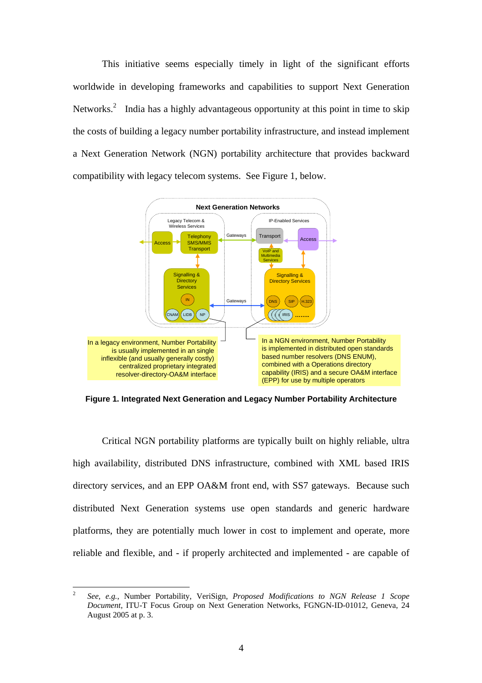This initiative seems especially timely in light of the significant efforts worldwide in developing frameworks and capabilities to support Next Generation Networks.<sup>2</sup> India has a highly advantageous opportunity at this point in time to skip the costs of building a legacy number portability infrastructure, and instead implement a Next Generation Network (NGN) portability architecture that provides backward compatibility with legacy telecom systems. See Figure 1, below.



**Figure 1. Integrated Next Generation and Legacy Number Portability Architecture** 

Critical NGN portability platforms are typically built on highly reliable, ultra high availability, distributed DNS infrastructure, combined with XML based IRIS directory services, and an EPP OA&M front end, with SS7 gateways. Because such distributed Next Generation systems use open standards and generic hardware platforms, they are potentially much lower in cost to implement and operate, more reliable and flexible, and - if properly architected and implemented - are capable of

 $\frac{1}{2}$  *See, e.g.*, Number Portability, VeriSign, *Proposed Modifications to NGN Release 1 Scope Document*, ITU-T Focus Group on Next Generation Networks, FGNGN-ID-01012, Geneva, 24 August 2005 at p. 3.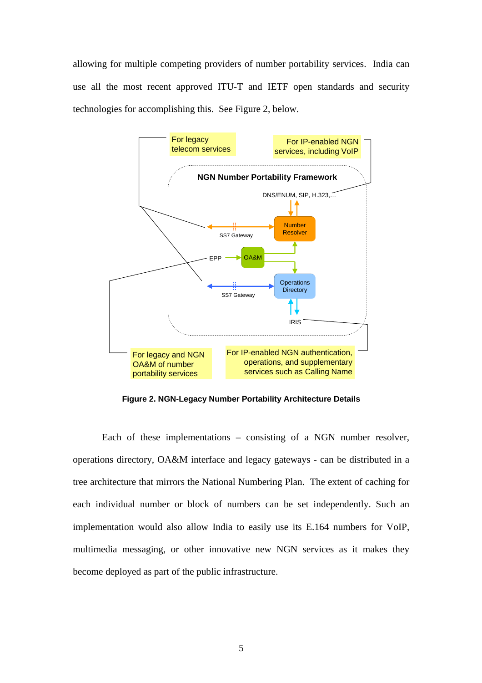allowing for multiple competing providers of number portability services. India can use all the most recent approved ITU-T and IETF open standards and security technologies for accomplishing this. See Figure 2, below.



**Figure 2. NGN-Legacy Number Portability Architecture Details** 

Each of these implementations – consisting of a NGN number resolver, operations directory, OA&M interface and legacy gateways - can be distributed in a tree architecture that mirrors the National Numbering Plan. The extent of caching for each individual number or block of numbers can be set independently. Such an implementation would also allow India to easily use its E.164 numbers for VoIP, multimedia messaging, or other innovative new NGN services as it makes they become deployed as part of the public infrastructure.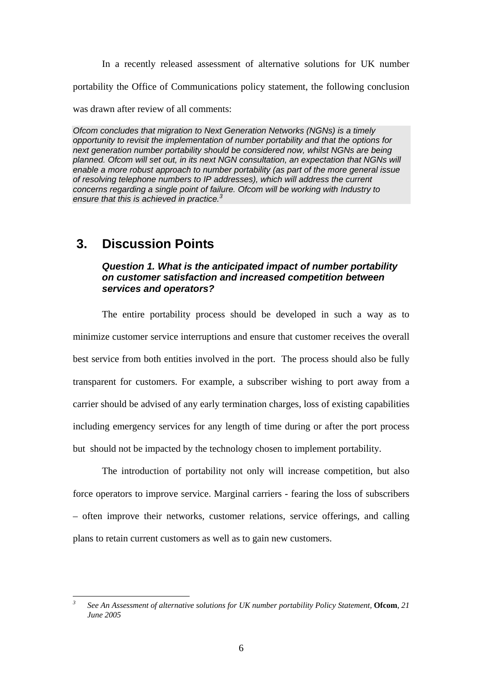In a recently released assessment of alternative solutions for UK number

portability the Office of Communications policy statement, the following conclusion

was drawn after review of all comments:

*Ofcom concludes that migration to Next Generation Networks (NGNs) is a timely opportunity to revisit the implementation of number portability and that the options for next generation number portability should be considered now, whilst NGNs are being planned. Ofcom will set out, in its next NGN consultation, an expectation that NGNs will enable a more robust approach to number portability (as part of the more general issue of resolving telephone numbers to IP addresses), which will address the current concerns regarding a single point of failure. Ofcom will be working with Industry to ensure that this is achieved in practice.3*

# **3. Discussion Points**

# *Question 1. What is the anticipated impact of number portability on customer satisfaction and increased competition between services and operators?*

The entire portability process should be developed in such a way as to minimize customer service interruptions and ensure that customer receives the overall best service from both entities involved in the port. The process should also be fully transparent for customers. For example, a subscriber wishing to port away from a carrier should be advised of any early termination charges, loss of existing capabilities including emergency services for any length of time during or after the port process but should not be impacted by the technology chosen to implement portability.

The introduction of portability not only will increase competition, but also force operators to improve service. Marginal carriers - fearing the loss of subscribers – often improve their networks, customer relations, service offerings, and calling plans to retain current customers as well as to gain new customers.

 *3 See An Assessment of alternative solutions for UK number portability Policy Statement,* **Ofcom**, *21 June 2005*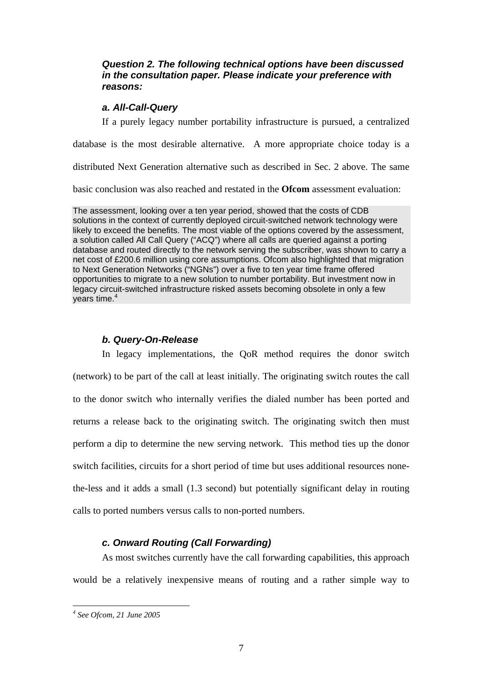# *Question 2. The following technical options have been discussed in the consultation paper. Please indicate your preference with reasons:*

#### *a. All-Call-Query*

If a purely legacy number portability infrastructure is pursued, a centralized

database is the most desirable alternative. A more appropriate choice today is a

distributed Next Generation alternative such as described in Sec. 2 above. The same

basic conclusion was also reached and restated in the **Ofcom** assessment evaluation:

The assessment, looking over a ten year period, showed that the costs of CDB solutions in the context of currently deployed circuit-switched network technology were likely to exceed the benefits. The most viable of the options covered by the assessment, a solution called All Call Query ("ACQ") where all calls are queried against a porting database and routed directly to the network serving the subscriber, was shown to carry a net cost of £200.6 million using core assumptions. Ofcom also highlighted that migration to Next Generation Networks ("NGNs") over a five to ten year time frame offered opportunities to migrate to a new solution to number portability. But investment now in legacy circuit-switched infrastructure risked assets becoming obsolete in only a few vears time. $4$ 

#### *b. Query-On-Release*

In legacy implementations, the QoR method requires the donor switch (network) to be part of the call at least initially. The originating switch routes the call to the donor switch who internally verifies the dialed number has been ported and returns a release back to the originating switch. The originating switch then must perform a dip to determine the new serving network. This method ties up the donor switch facilities, circuits for a short period of time but uses additional resources nonethe-less and it adds a small (1.3 second) but potentially significant delay in routing calls to ported numbers versus calls to non-ported numbers.

# *c. Onward Routing (Call Forwarding)*

As most switches currently have the call forwarding capabilities, this approach would be a relatively inexpensive means of routing and a rather simple way to

 $\overline{a}$ 

*<sup>4</sup> See Ofcom, 21 June 2005*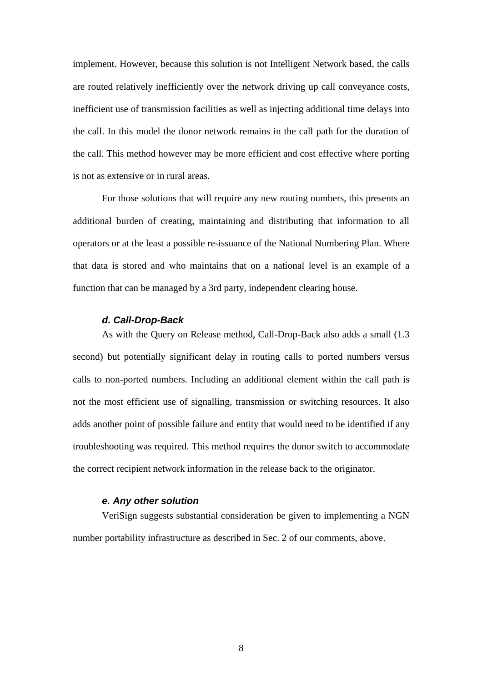implement. However, because this solution is not Intelligent Network based, the calls are routed relatively inefficiently over the network driving up call conveyance costs, inefficient use of transmission facilities as well as injecting additional time delays into the call. In this model the donor network remains in the call path for the duration of the call. This method however may be more efficient and cost effective where porting is not as extensive or in rural areas.

For those solutions that will require any new routing numbers, this presents an additional burden of creating, maintaining and distributing that information to all operators or at the least a possible re-issuance of the National Numbering Plan. Where that data is stored and who maintains that on a national level is an example of a function that can be managed by a 3rd party, independent clearing house.

#### *d. Call-Drop-Back*

As with the Query on Release method, Call-Drop-Back also adds a small (1.3 second) but potentially significant delay in routing calls to ported numbers versus calls to non-ported numbers. Including an additional element within the call path is not the most efficient use of signalling, transmission or switching resources. It also adds another point of possible failure and entity that would need to be identified if any troubleshooting was required. This method requires the donor switch to accommodate the correct recipient network information in the release back to the originator.

#### *e. Any other solution*

VeriSign suggests substantial consideration be given to implementing a NGN number portability infrastructure as described in Sec. 2 of our comments, above.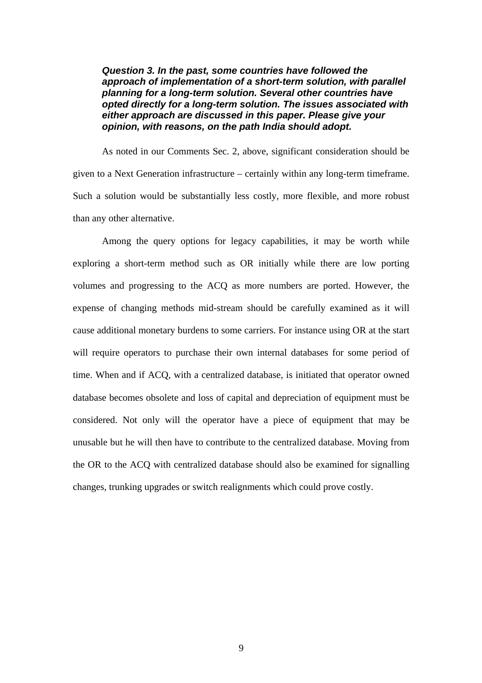*Question 3. In the past, some countries have followed the approach of implementation of a short-term solution, with parallel planning for a long-term solution. Several other countries have opted directly for a long-term solution. The issues associated with either approach are discussed in this paper. Please give your opinion, with reasons, on the path India should adopt.* 

As noted in our Comments Sec. 2, above, significant consideration should be given to a Next Generation infrastructure – certainly within any long-term timeframe. Such a solution would be substantially less costly, more flexible, and more robust than any other alternative.

Among the query options for legacy capabilities, it may be worth while exploring a short-term method such as OR initially while there are low porting volumes and progressing to the ACQ as more numbers are ported. However, the expense of changing methods mid-stream should be carefully examined as it will cause additional monetary burdens to some carriers. For instance using OR at the start will require operators to purchase their own internal databases for some period of time. When and if ACQ, with a centralized database, is initiated that operator owned database becomes obsolete and loss of capital and depreciation of equipment must be considered. Not only will the operator have a piece of equipment that may be unusable but he will then have to contribute to the centralized database. Moving from the OR to the ACQ with centralized database should also be examined for signalling changes, trunking upgrades or switch realignments which could prove costly.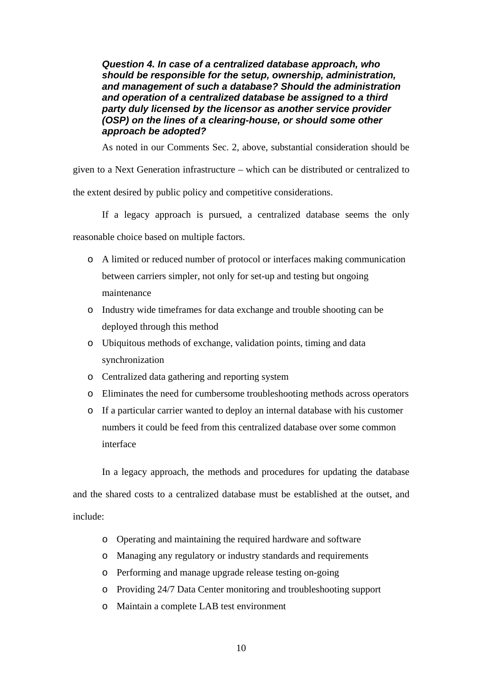*Question 4. In case of a centralized database approach, who should be responsible for the setup, ownership, administration, and management of such a database? Should the administration and operation of a centralized database be assigned to a third party duly licensed by the licensor as another service provider (OSP) on the lines of a clearing-house, or should some other approach be adopted?* 

As noted in our Comments Sec. 2, above, substantial consideration should be

given to a Next Generation infrastructure – which can be distributed or centralized to the extent desired by public policy and competitive considerations.

If a legacy approach is pursued, a centralized database seems the only

reasonable choice based on multiple factors.

- o A limited or reduced number of protocol or interfaces making communication between carriers simpler, not only for set-up and testing but ongoing maintenance
- o Industry wide timeframes for data exchange and trouble shooting can be deployed through this method
- o Ubiquitous methods of exchange, validation points, timing and data synchronization
- o Centralized data gathering and reporting system
- o Eliminates the need for cumbersome troubleshooting methods across operators
- o If a particular carrier wanted to deploy an internal database with his customer numbers it could be feed from this centralized database over some common interface

In a legacy approach, the methods and procedures for updating the database and the shared costs to a centralized database must be established at the outset, and

include:

- o Operating and maintaining the required hardware and software
- o Managing any regulatory or industry standards and requirements
- o Performing and manage upgrade release testing on-going
- o Providing 24/7 Data Center monitoring and troubleshooting support
- o Maintain a complete LAB test environment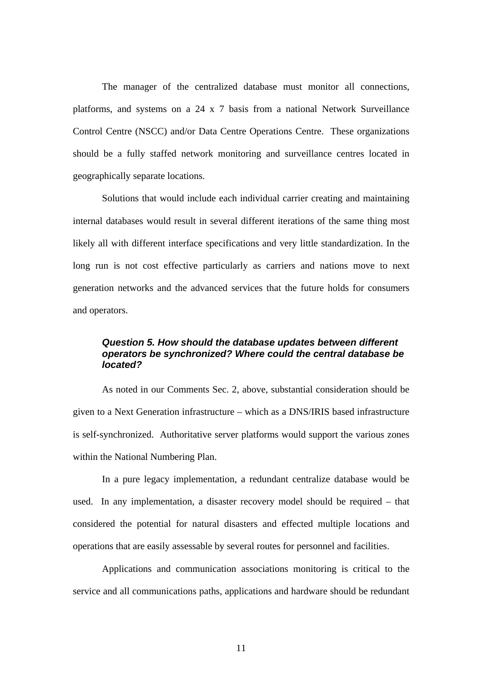The manager of the centralized database must monitor all connections, platforms, and systems on a 24 x 7 basis from a national Network Surveillance Control Centre (NSCC) and/or Data Centre Operations Centre. These organizations should be a fully staffed network monitoring and surveillance centres located in geographically separate locations.

Solutions that would include each individual carrier creating and maintaining internal databases would result in several different iterations of the same thing most likely all with different interface specifications and very little standardization. In the long run is not cost effective particularly as carriers and nations move to next generation networks and the advanced services that the future holds for consumers and operators.

# *Question 5. How should the database updates between different operators be synchronized? Where could the central database be located?*

As noted in our Comments Sec. 2, above, substantial consideration should be given to a Next Generation infrastructure – which as a DNS/IRIS based infrastructure is self-synchronized. Authoritative server platforms would support the various zones within the National Numbering Plan.

In a pure legacy implementation, a redundant centralize database would be used. In any implementation, a disaster recovery model should be required – that considered the potential for natural disasters and effected multiple locations and operations that are easily assessable by several routes for personnel and facilities.

Applications and communication associations monitoring is critical to the service and all communications paths, applications and hardware should be redundant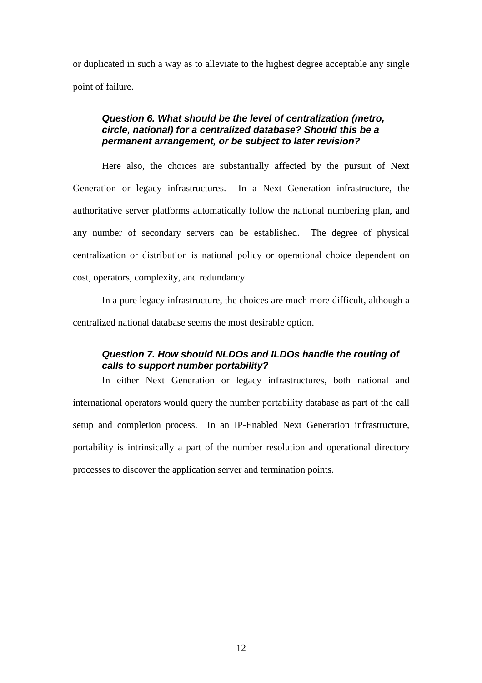or duplicated in such a way as to alleviate to the highest degree acceptable any single point of failure.

#### *Question 6. What should be the level of centralization (metro, circle, national) for a centralized database? Should this be a permanent arrangement, or be subject to later revision?*

Here also, the choices are substantially affected by the pursuit of Next Generation or legacy infrastructures. In a Next Generation infrastructure, the authoritative server platforms automatically follow the national numbering plan, and any number of secondary servers can be established. The degree of physical centralization or distribution is national policy or operational choice dependent on cost, operators, complexity, and redundancy.

In a pure legacy infrastructure, the choices are much more difficult, although a centralized national database seems the most desirable option.

# *Question 7. How should NLDOs and ILDOs handle the routing of calls to support number portability?*

In either Next Generation or legacy infrastructures, both national and international operators would query the number portability database as part of the call setup and completion process. In an IP-Enabled Next Generation infrastructure, portability is intrinsically a part of the number resolution and operational directory processes to discover the application server and termination points.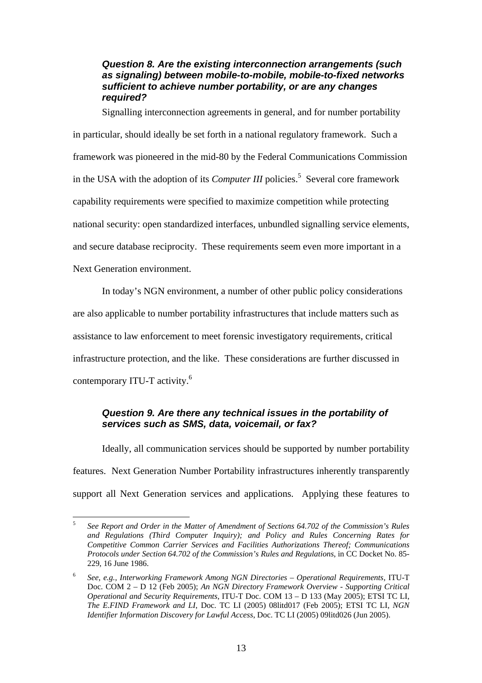### *Question 8. Are the existing interconnection arrangements (such as signaling) between mobile-to-mobile, mobile-to-fixed networks sufficient to achieve number portability, or are any changes required?*

Signalling interconnection agreements in general, and for number portability in particular, should ideally be set forth in a national regulatory framework. Such a framework was pioneered in the mid-80 by the Federal Communications Commission in the USA with the adoption of its *Computer III* policies.<sup>5</sup> Several core framework capability requirements were specified to maximize competition while protecting national security: open standardized interfaces, unbundled signalling service elements, and secure database reciprocity. These requirements seem even more important in a Next Generation environment.

In today's NGN environment, a number of other public policy considerations are also applicable to number portability infrastructures that include matters such as assistance to law enforcement to meet forensic investigatory requirements, critical infrastructure protection, and the like. These considerations are further discussed in contemporary ITU-T activity.<sup>6</sup>

# *Question 9. Are there any technical issues in the portability of services such as SMS, data, voicemail, or fax?*

Ideally, all communication services should be supported by number portability features. Next Generation Number Portability infrastructures inherently transparently support all Next Generation services and applications. Applying these features to

 $\overline{a}$ 5 *See Report and Order in the Matter of Amendment of Sections 64.702 of the Commission's Rules and Regulations (Third Computer Inquiry); and Policy and Rules Concerning Rates for Competitive Common Carrier Services and Facilities Authorizations Thereof; Communications Protocols under Section 64.702 of the Commission's Rules and Regulations*, in CC Docket No. 85- 229, 16 June 1986.

<sup>6</sup> *See, e.g., Interworking Framework Among NGN Directories – Operational Requirements*, ITU-T Doc. COM 2 – D 12 (Feb 2005); *An NGN Directory Framework Overview - Supporting Critical Operational and Security Requirements*, ITU-T Doc. COM 13 – D 133 (May 2005); ETSI TC LI, *The E.FIND Framework and LI*, Doc. TC LI (2005) 08litd017 (Feb 2005); ETSI TC LI, *NGN Identifier Information Discovery for Lawful Access*, Doc. TC LI (2005) 09litd026 (Jun 2005).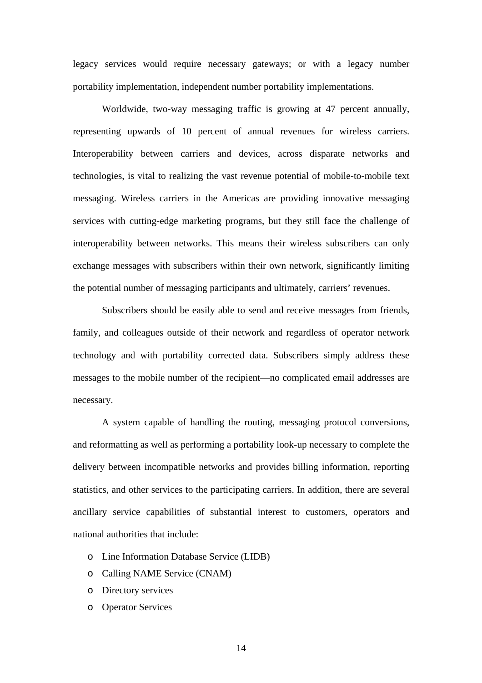legacy services would require necessary gateways; or with a legacy number portability implementation, independent number portability implementations.

Worldwide, two-way messaging traffic is growing at 47 percent annually, representing upwards of 10 percent of annual revenues for wireless carriers. Interoperability between carriers and devices, across disparate networks and technologies, is vital to realizing the vast revenue potential of mobile-to-mobile text messaging. Wireless carriers in the Americas are providing innovative messaging services with cutting-edge marketing programs, but they still face the challenge of interoperability between networks. This means their wireless subscribers can only exchange messages with subscribers within their own network, significantly limiting the potential number of messaging participants and ultimately, carriers' revenues.

Subscribers should be easily able to send and receive messages from friends, family, and colleagues outside of their network and regardless of operator network technology and with portability corrected data. Subscribers simply address these messages to the mobile number of the recipient—no complicated email addresses are necessary.

A system capable of handling the routing, messaging protocol conversions, and reformatting as well as performing a portability look-up necessary to complete the delivery between incompatible networks and provides billing information, reporting statistics, and other services to the participating carriers. In addition, there are several ancillary service capabilities of substantial interest to customers, operators and national authorities that include:

- o Line Information Database Service (LIDB)
- o Calling NAME Service (CNAM)
- o Directory services
- o Operator Services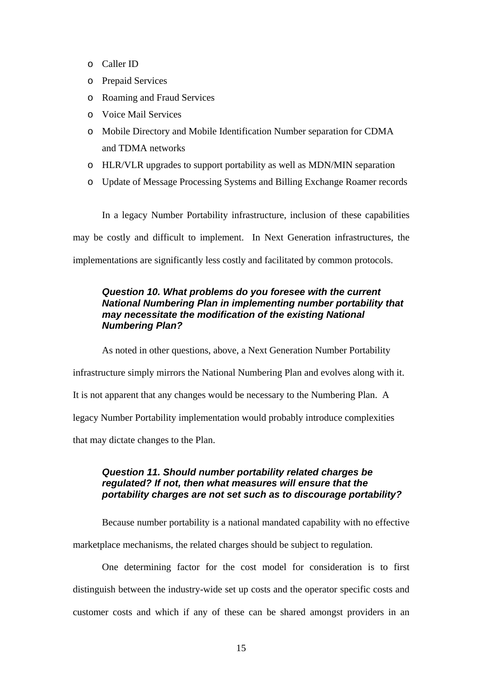- o Caller ID
- o Prepaid Services
- o Roaming and Fraud Services
- o Voice Mail Services
- o Mobile Directory and Mobile Identification Number separation for CDMA and TDMA networks
- o HLR/VLR upgrades to support portability as well as MDN/MIN separation
- o Update of Message Processing Systems and Billing Exchange Roamer records

In a legacy Number Portability infrastructure, inclusion of these capabilities may be costly and difficult to implement. In Next Generation infrastructures, the implementations are significantly less costly and facilitated by common protocols.

# *Question 10. What problems do you foresee with the current National Numbering Plan in implementing number portability that may necessitate the modification of the existing National Numbering Plan?*

As noted in other questions, above, a Next Generation Number Portability infrastructure simply mirrors the National Numbering Plan and evolves along with it. It is not apparent that any changes would be necessary to the Numbering Plan. A legacy Number Portability implementation would probably introduce complexities that may dictate changes to the Plan.

### *Question 11. Should number portability related charges be regulated? If not, then what measures will ensure that the portability charges are not set such as to discourage portability?*

Because number portability is a national mandated capability with no effective marketplace mechanisms, the related charges should be subject to regulation.

One determining factor for the cost model for consideration is to first distinguish between the industry-wide set up costs and the operator specific costs and customer costs and which if any of these can be shared amongst providers in an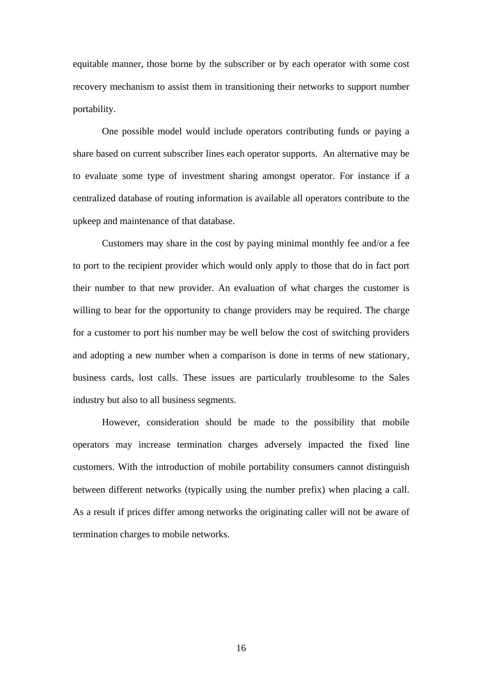equitable manner, those borne by the subscriber or by each operator with some cost recovery mechanism to assist them in transitioning their networks to support number portability.

One possible model would include operators contributing funds or paying a share based on current subscriber lines each operator supports. An alternative may be to evaluate some type of investment sharing amongst operator. For instance if a centralized database of routing information is available all operators contribute to the upkeep and maintenance of that database.

Customers may share in the cost by paying minimal monthly fee and/or a fee to port to the recipient provider which would only apply to those that do in fact port their number to that new provider. An evaluation of what charges the customer is willing to bear for the opportunity to change providers may be required. The charge for a customer to port his number may be well below the cost of switching providers and adopting a new number when a comparison is done in terms of new stationary, business cards, lost calls. These issues are particularly troublesome to the Sales industry but also to all business segments.

However, consideration should be made to the possibility that mobile operators may increase termination charges adversely impacted the fixed line customers. With the introduction of mobile portability consumers cannot distinguish between different networks (typically using the number prefix) when placing a call. As a result if prices differ among networks the originating caller will not be aware of termination charges to mobile networks.

16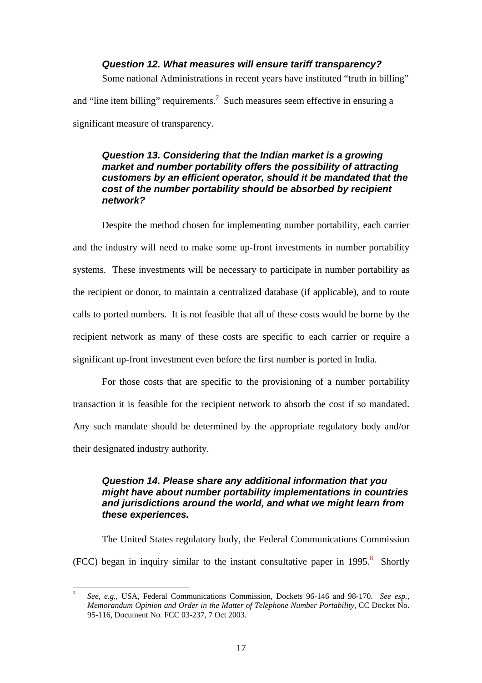#### *Question 12. What measures will ensure tariff transparency?*

Some national Administrations in recent years have instituted "truth in billing"

and "line item billing" requirements.<sup>7</sup> Such measures seem effective in ensuring a significant measure of transparency.

# *Question 13. Considering that the Indian market is a growing market and number portability offers the possibility of attracting customers by an efficient operator, should it be mandated that the cost of the number portability should be absorbed by recipient network?*

Despite the method chosen for implementing number portability, each carrier and the industry will need to make some up-front investments in number portability systems. These investments will be necessary to participate in number portability as the recipient or donor, to maintain a centralized database (if applicable), and to route calls to ported numbers. It is not feasible that all of these costs would be borne by the recipient network as many of these costs are specific to each carrier or require a significant up-front investment even before the first number is ported in India.

For those costs that are specific to the provisioning of a number portability transaction it is feasible for the recipient network to absorb the cost if so mandated. Any such mandate should be determined by the appropriate regulatory body and/or their designated industry authority.

# *Question 14. Please share any additional information that you might have about number portability implementations in countries and jurisdictions around the world, and what we might learn from these experiences.*

The United States regulatory body, the Federal Communications Commission  $(FCC)$  began in inquiry similar to the instant consultative paper in 1995.<sup>8</sup> Shortly

<sup>-&</sup>lt;br>7 *See, e.g.,* USA, Federal Communications Commission, Dockets 96-146 and 98-170. *See esp., Memorandum Opinion and Order in the Matter of Telephone Number Portability*, CC Docket No. 95-116, Document No. FCC 03-237, 7 Oct 2003.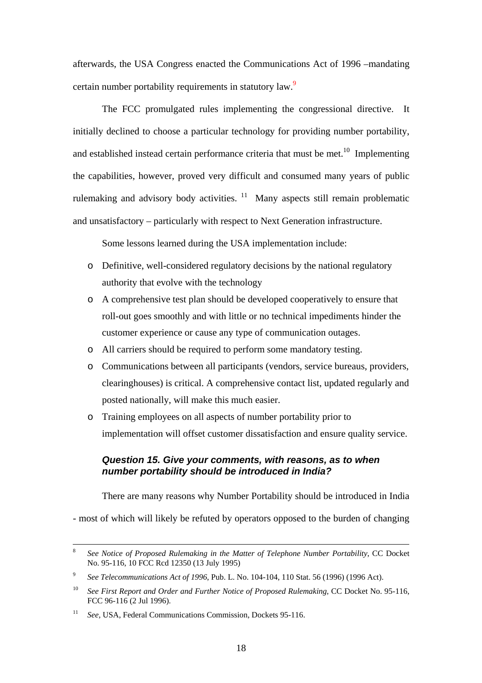afterwards, the USA Congress enacted the Communications Act of 1996 –mandating certain number portability requirements in statutory law.<sup>9</sup>

The FCC promulgated rules implementing the congressional directive. It initially declined to choose a particular technology for providing number portability, and established instead certain performance criteria that must be met.<sup>10</sup> Implementing the capabilities, however, proved very difficult and consumed many years of public rulemaking and advisory body activities. <sup>11</sup> Many aspects still remain problematic and unsatisfactory – particularly with respect to Next Generation infrastructure.

Some lessons learned during the USA implementation include:

- o Definitive, well-considered regulatory decisions by the national regulatory authority that evolve with the technology
- o A comprehensive test plan should be developed cooperatively to ensure that roll-out goes smoothly and with little or no technical impediments hinder the customer experience or cause any type of communication outages.
- o All carriers should be required to perform some mandatory testing.
- o Communications between all participants (vendors, service bureaus, providers, clearinghouses) is critical. A comprehensive contact list, updated regularly and posted nationally, will make this much easier.
- o Training employees on all aspects of number portability prior to implementation will offset customer dissatisfaction and ensure quality service.

#### *Question 15. Give your comments, with reasons, as to when number portability should be introduced in India?*

There are many reasons why Number Portability should be introduced in India

- most of which will likely be refuted by operators opposed to the burden of changing

 <sup>8</sup> *See Notice of Proposed Rulemaking in the Matter of Telephone Number Portability*, CC Docket No. 95-116, 10 FCC Rcd 12350 (13 July 1995)

<sup>9</sup> *See Telecommunications Act of 1996*, Pub. L. No. 104-104, 110 Stat. 56 (1996) (1996 Act).

<sup>&</sup>lt;sup>10</sup> *See First Report and Order and Further Notice of Proposed Rulemaking, CC Docket No. 95-116,* FCC 96-116 (2 Jul 1996).

<sup>&</sup>lt;sup>11</sup> *See*, USA, Federal Communications Commission, Dockets 95-116.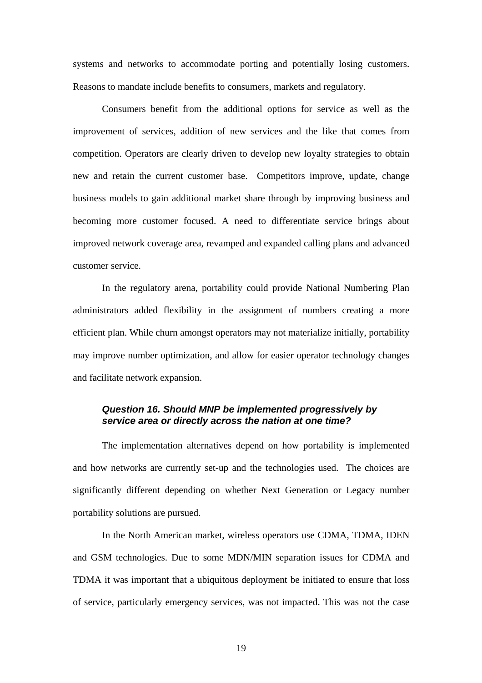systems and networks to accommodate porting and potentially losing customers. Reasons to mandate include benefits to consumers, markets and regulatory.

Consumers benefit from the additional options for service as well as the improvement of services, addition of new services and the like that comes from competition. Operators are clearly driven to develop new loyalty strategies to obtain new and retain the current customer base. Competitors improve, update, change business models to gain additional market share through by improving business and becoming more customer focused. A need to differentiate service brings about improved network coverage area, revamped and expanded calling plans and advanced customer service.

In the regulatory arena, portability could provide National Numbering Plan administrators added flexibility in the assignment of numbers creating a more efficient plan. While churn amongst operators may not materialize initially, portability may improve number optimization, and allow for easier operator technology changes and facilitate network expansion.

#### *Question 16. Should MNP be implemented progressively by service area or directly across the nation at one time?*

The implementation alternatives depend on how portability is implemented and how networks are currently set-up and the technologies used. The choices are significantly different depending on whether Next Generation or Legacy number portability solutions are pursued.

In the North American market, wireless operators use CDMA, TDMA, IDEN and GSM technologies. Due to some MDN/MIN separation issues for CDMA and TDMA it was important that a ubiquitous deployment be initiated to ensure that loss of service, particularly emergency services, was not impacted. This was not the case